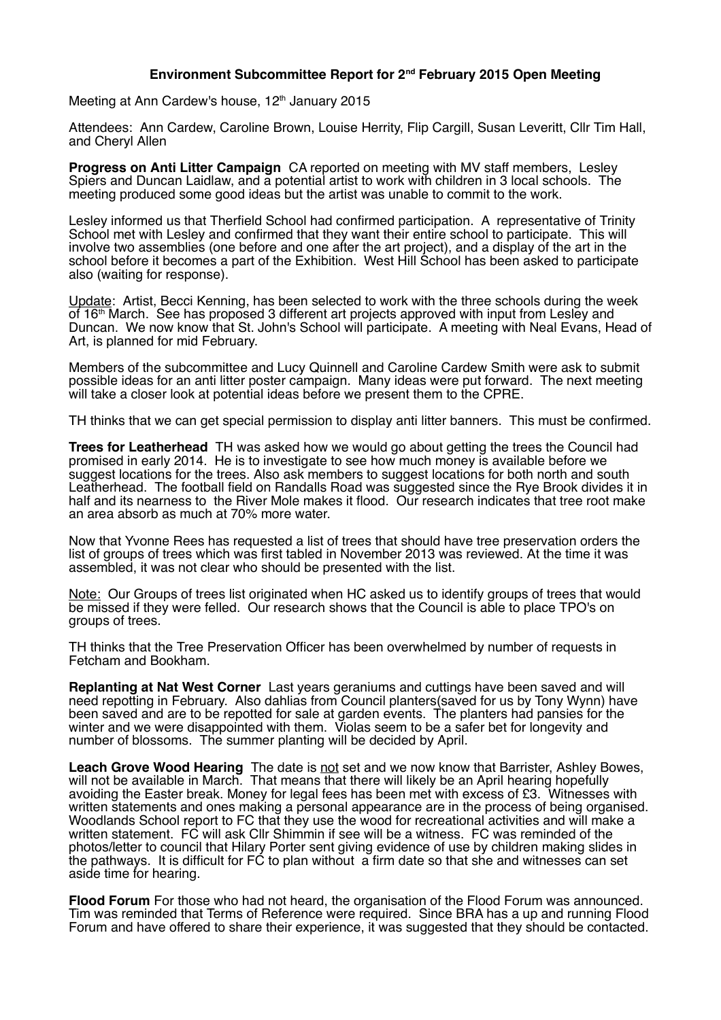## **Environment Subcommittee Report for 2nd February 2015 Open Meeting**

Meeting at Ann Cardew's house, 12<sup>th</sup> January 2015

Attendees: Ann Cardew, Caroline Brown, Louise Herrity, Flip Cargill, Susan Leveritt, Cllr Tim Hall, and Cheryl Allen

**Progress on Anti Litter Campaign** CA reported on meeting with MV staff members, Lesley Spiers and Duncan Laidlaw, and a potential artist to work with children in 3 local schools. The meeting produced some good ideas but the artist was unable to commit to the work.

Lesley informed us that Therfield School had confirmed participation. A representative of Trinity School met with Lesley and confirmed that they want their entire school to participate. This will involve two assemblies (one before and one after the art project), and a display of the art in the school before it becomes a part of the Exhibition. West Hill School has been asked to participate also (waiting for response).

Update: Artist, Becci Kenning, has been selected to work with the three schools during the week of  $16<sup>th</sup>$  March. See has proposed 3 different art projects approved with input from Lesley and Duncan. We now know that St. John's School will participate. A meeting with Neal Evans, Head of Art, is planned for mid February.

Members of the subcommittee and Lucy Quinnell and Caroline Cardew Smith were ask to submit possible ideas for an anti litter poster campaign. Many ideas were put forward. The next meeting will take a closer look at potential ideas before we present them to the CPRE.

TH thinks that we can get special permission to display anti litter banners. This must be confirmed.

**Trees for Leatherhead** TH was asked how we would go about getting the trees the Council had promised in early 2014. He is to investigate to see how much money is available before we suggest locations for the trees. Also ask members to suggest locations for both north and south Leatherhead. The football field on Randalls Road was suggested since the Rye Brook divides it in half and its nearness to the River Mole makes it flood. Our research indicates that tree root make an area absorb as much at 70% more water.

Now that Yvonne Rees has requested a list of trees that should have tree preservation orders the list of groups of trees which was first tabled in November 2013 was reviewed. At the time it was assembled, it was not clear who should be presented with the list.

Note: Our Groups of trees list originated when HC asked us to identify groups of trees that would be missed if they were felled. Our research shows that the Council is able to place TPO's on groups of trees.

TH thinks that the Tree Preservation Officer has been overwhelmed by number of requests in Fetcham and Bookham.

**Replanting at Nat West Corner** Last years geraniums and cuttings have been saved and will need repotting in February. Also dahlias from Council planters(saved for us by Tony Wynn) have been saved and are to be repotted for sale at garden events. The planters had pansies for the winter and we were disappointed with them. Violas seem to be a safer bet for longevity and winter and we were disappointed with them. Violas seem to be a safer bet for longevity and number of blossoms. The summer planting will be decided by April.

**Leach Grove Wood Hearing** The date is not set and we now know that Barrister, Ashley Bowes, will not be available in March. That means that there will likely be an April hearing hopefully avoiding the Easter break. Money for legal fees has been met with excess of £3. Witnesses with written statements and ones making a personal appearance are in the process of being organised. Woodlands School report to FC that they use the wood for recreational activities and will make a written statement. FC will ask Cllr Shimmin if see will be a witness. FC was reminded of the photos/letter to council that Hilary Porter sent giving evidence of use by children making slides in the pathways. It is difficult for FC to plan without a firm date so that she and witnesses can set aside time for hearing.

**Flood Forum** For those who had not heard, the organisation of the Flood Forum was announced. Tim was reminded that Terms of Reference were required. Since BRA has a up and running Flood Forum and have offered to share their experience, it was suggested that they should be contacted.